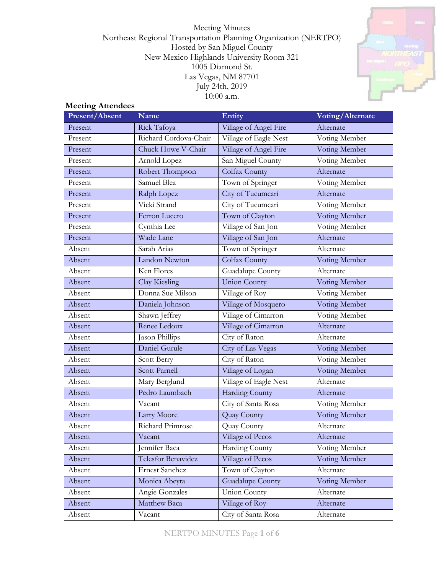Meeting Minutes Northeast Regional Transportation Planning Organization (NERTPO) Hosted by San Miguel County New Mexico Highlands University Room 321 1005 Diamond St. Las Vegas, NM 87701 July 24th, 2019 10:00 a.m.



## **Meeting Attendees**

| Present/Absent | <b>Name</b>           | Entity                | Voting/Alternate |
|----------------|-----------------------|-----------------------|------------------|
| Present        | Rick Tafoya           | Village of Angel Fire | Alternate        |
| Present        | Richard Cordova-Chair | Village of Eagle Nest | Voting Member    |
| Present        | Chuck Howe V-Chair    | Village of Angel Fire | Voting Member    |
| Present        | Arnold Lopez          | San Miguel County     | Voting Member    |
| Present        | Robert Thompson       | Colfax County         | Alternate        |
| Present        | Samuel Blea           | Town of Springer      | Voting Member    |
| Present        | Ralph Lopez           | City of Tucumcari     | Alternate        |
| Present        | Vicki Strand          | City of Tucumcari     | Voting Member    |
| Present        | Ferron Lucero         | Town of Clayton       | Voting Member    |
| Present        | Cynthia Lee           | Village of San Jon    | Voting Member    |
| Present        | Wade Lane             | Village of San Jon    | Alternate        |
| Absent         | Sarah Arias           | Town of Springer      | Alternate        |
| Absent         | Landon Newton         | Colfax County         | Voting Member    |
| Absent         | Ken Flores            | Guadalupe County      | Alternate        |
| Absent         | Clay Kiesling         | <b>Union County</b>   | Voting Member    |
| Absent         | Donna Sue Milson      | Village of Roy        | Voting Member    |
| Absent         | Daniela Johnson       | Village of Mosquero   | Voting Member    |
| Absent         | Shawn Jeffrey         | Village of Cimarron   | Voting Member    |
| Absent         | Renee Ledoux          | Village of Cimarron   | Alternate        |
| Absent         | Jason Phillips        | City of Raton         | Alternate        |
| Absent         | Daniel Gurule         | City of Las Vegas     | Voting Member    |
| Absent         | Scott Berry           | City of Raton         | Voting Member    |
| Absent         | <b>Scott Parnell</b>  | Village of Logan      | Voting Member    |
| Absent         | Mary Berglund         | Village of Eagle Nest | Alternate        |
| Absent         | Pedro Laumbach        | <b>Harding County</b> | Alternate        |
| Absent         | Vacant                | City of Santa Rosa    | Voting Member    |
| Absent         | Larry Moore           | Quay County           | Voting Member    |
| Absent         | Richard Primrose      | Quay County           | Alternate        |
| Absent         | Vacant                | Village of Pecos      | Alternate        |
| Absent         | Jennifer Baca         | Harding County        | Voting Member    |
| Absent         | Telesfor Benavidez    | Village of Pecos      | Voting Member    |
| Absent         | <b>Ernest Sanchez</b> | Town of Clayton       | Alternate        |
| Absent         | Monica Abeyta         | Guadalupe County      | Voting Member    |
| Absent         | Angie Gonzales        | Union County          | Alternate        |
| Absent         | Matthew Baca          | Village of Roy        | Alternate        |
| Absent         | Vacant                | City of Santa Rosa    | Alternate        |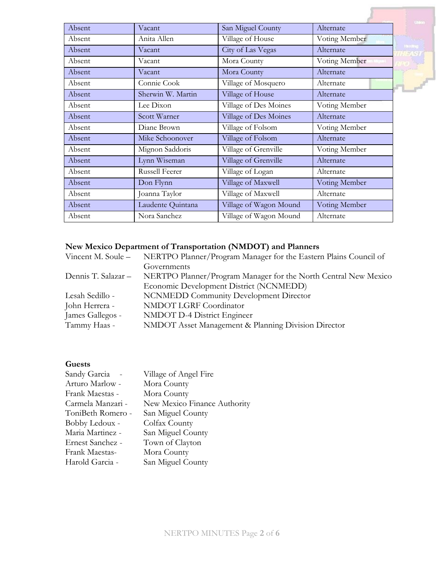| Absent | Vacant            | San Miguel County      | Alternate     |
|--------|-------------------|------------------------|---------------|
| Absent | Anita Allen       | Village of House       | Voting Member |
| Absent | Vacant            | City of Las Vegas      | Alternate     |
| Absent | Vacant            | Mora County            | Voting Member |
| Absent | Vacant            | Mora County            | Alternate     |
| Absent | Connie Cook       | Village of Mosquero    | Alternate     |
| Absent | Sherwin W. Martin | Village of House       | Alternate     |
| Absent | Lee Dixon         | Village of Des Moines  | Voting Member |
| Absent | Scott Warner      | Village of Des Moines  | Alternate     |
| Absent | Diane Brown       | Village of Folsom      | Voting Member |
| Absent | Mike Schoonover   | Village of Folsom      | Alternate     |
| Absent | Mignon Saddoris   | Village of Grenville   | Voting Member |
| Absent | Lynn Wiseman      | Village of Grenville   | Alternate     |
| Absent | Russell Feerer    | Village of Logan       | Alternate     |
| Absent | Don Flynn         | Village of Maxwell     | Voting Member |
| Absent | Joanna Taylor     | Village of Maxwell     | Alternate     |
| Absent | Laudente Quintana | Village of Wagon Mound | Voting Member |
| Absent | Nora Sanchez      | Village of Wagon Mound | Alternate     |

# **New Mexico Department of Transportation (NMDOT) and Planners**

| Vincent M. Soule –  | NERTPO Planner/Program Manager for the Eastern Plains Council of |
|---------------------|------------------------------------------------------------------|
|                     | Governments                                                      |
| Dennis T. Salazar – | NERTPO Planner/Program Manager for the North Central New Mexico  |
|                     | Economic Development District (NCNMEDD)                          |
| Lesah Sedillo -     | <b>NCNMEDD Community Development Director</b>                    |
| John Herrera -      | NMDOT LGRF Coordinator                                           |
| James Gallegos -    | NMDOT D-4 District Engineer                                      |
| Tammy Haas -        | NMDOT Asset Management & Planning Division Director              |
|                     |                                                                  |

## **Guests**

| Sandy Garcia -    | Village of Angel Fire        |
|-------------------|------------------------------|
| Arturo Marlow -   | Mora County                  |
| Frank Maestas -   | Mora County                  |
| Carmela Manzari - | New Mexico Finance Authority |
| ToniBeth Romero - | San Miguel County            |
| Bobby Ledoux -    | Colfax County                |
| Maria Martinez -  | San Miguel County            |
| Ernest Sanchez -  | Town of Clayton              |
| Frank Maestas-    | Mora County                  |
| Harold Garcia -   | San Miguel County            |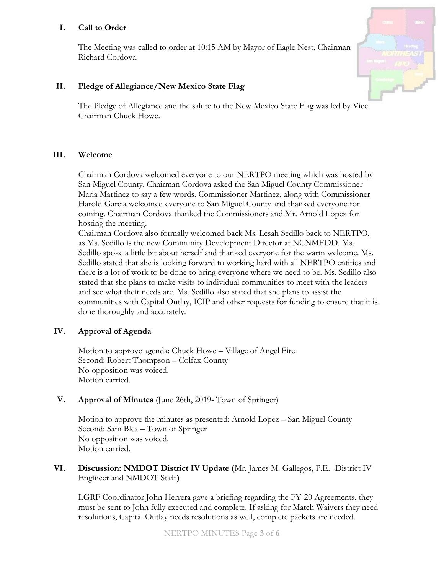## **I. Call to Order**

The Meeting was called to order at 10:15 AM by Mayor of Eagle Nest, Chairman Richard Cordova.



## **II. Pledge of Allegiance/New Mexico State Flag**

The Pledge of Allegiance and the salute to the New Mexico State Flag was led by Vice Chairman Chuck Howe.

#### **III. Welcome**

Chairman Cordova welcomed everyone to our NERTPO meeting which was hosted by San Miguel County. Chairman Cordova asked the San Miguel County Commissioner Maria Martinez to say a few words. Commissioner Martinez, along with Commissioner Harold Garcia welcomed everyone to San Miguel County and thanked everyone for coming. Chairman Cordova thanked the Commissioners and Mr. Arnold Lopez for hosting the meeting.

Chairman Cordova also formally welcomed back Ms. Lesah Sedillo back to NERTPO, as Ms. Sedillo is the new Community Development Director at NCNMEDD. Ms. Sedillo spoke a little bit about herself and thanked everyone for the warm welcome. Ms. Sedillo stated that she is looking forward to working hard with all NERTPO entities and there is a lot of work to be done to bring everyone where we need to be. Ms. Sedillo also stated that she plans to make visits to individual communities to meet with the leaders and see what their needs are. Ms. Sedillo also stated that she plans to assist the communities with Capital Outlay, ICIP and other requests for funding to ensure that it is done thoroughly and accurately.

#### **IV. Approval of Agenda**

Motion to approve agenda: Chuck Howe – Village of Angel Fire Second: Robert Thompson – Colfax County No opposition was voiced. Motion carried.

#### **V. Approval of Minutes** (June 26th, 2019- Town of Springer)

Motion to approve the minutes as presented: Arnold Lopez – San Miguel County Second: Sam Blea – Town of Springer No opposition was voiced. Motion carried.

#### **VI. Discussion: NMDOT District IV Update (**Mr. James M. Gallegos, P.E. -District IV Engineer and NMDOT Staff**)**

LGRF Coordinator John Herrera gave a briefing regarding the FY-20 Agreements, they must be sent to John fully executed and complete. If asking for Match Waivers they need resolutions, Capital Outlay needs resolutions as well, complete packets are needed.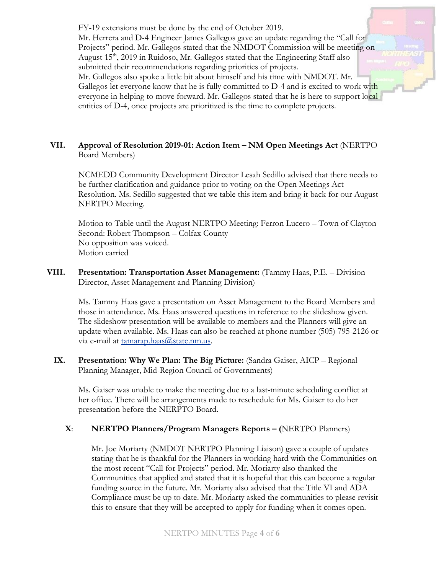FY-19 extensions must be done by the end of October 2019. Mr. Herrera and D-4 Engineer James Gallegos gave an update regarding the "Call for Projects" period. Mr. Gallegos stated that the NMDOT Commission will be meeting on August 15<sup>th</sup>, 2019 in Ruidoso, Mr. Gallegos stated that the Engineering Staff also submitted their recommendations regarding priorities of projects. Mr. Gallegos also spoke a little bit about himself and his time with NMDOT. Mr. Gallegos let everyone know that he is fully committed to D-4 and is excited to work with everyone in helping to move forward. Mr. Gallegos stated that he is here to support local entities of D-4, once projects are prioritized is the time to complete projects.

## **VII. Approval of Resolution 2019-01: Action Item – NM Open Meetings Act** (NERTPO Board Members)

NCMEDD Community Development Director Lesah Sedillo advised that there needs to be further clarification and guidance prior to voting on the Open Meetings Act Resolution. Ms. Sedillo suggested that we table this item and bring it back for our August NERTPO Meeting.

Motion to Table until the August NERTPO Meeting: Ferron Lucero – Town of Clayton Second: Robert Thompson – Colfax County No opposition was voiced. Motion carried

**VIII. Presentation: Transportation Asset Management:** (Tammy Haas, P.E. – Division Director, Asset Management and Planning Division)

Ms. Tammy Haas gave a presentation on Asset Management to the Board Members and those in attendance. Ms. Haas answered questions in reference to the slideshow given. The slideshow presentation will be available to members and the Planners will give an update when available. Ms. Haas can also be reached at phone number (505) 795-2126 or via e-mail at [tamarap.haas@state.nm.us.](mailto:tamarap.haas@state.nm.us)

**IX. Presentation: Why We Plan: The Big Picture:** (Sandra Gaiser, AICP – Regional Planning Manager, Mid-Region Council of Governments)

Ms. Gaiser was unable to make the meeting due to a last-minute scheduling conflict at her office. There will be arrangements made to reschedule for Ms. Gaiser to do her presentation before the NERPTO Board.

#### **X**: **NERTPO Planners/Program Managers Reports – (**NERTPO Planners)

Mr. Joe Moriarty (NMDOT NERTPO Planning Liaison) gave a couple of updates stating that he is thankful for the Planners in working hard with the Communities on the most recent "Call for Projects" period. Mr. Moriarty also thanked the Communities that applied and stated that it is hopeful that this can become a regular funding source in the future. Mr. Moriarty also advised that the Title VI and ADA Compliance must be up to date. Mr. Moriarty asked the communities to please revisit this to ensure that they will be accepted to apply for funding when it comes open.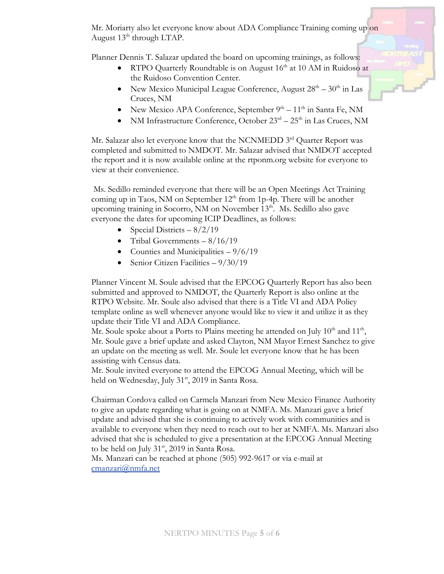Mr. Moriarty also let everyone know about ADA Compliance Training coming up on August  $13<sup>th</sup>$  through LTAP.

Planner Dennis T. Salazar updated the board on upcoming trainings, as follows:

- RTPO Quarterly Roundtable is on August 16<sup>th</sup> at 10 AM in Ruidoso at the Ruidoso Convention Center.
- New Mexico Municipal League Conference, August  $28<sup>th</sup> 30<sup>th</sup>$  in Las Cruces, NM
- New Mexico APA Conference, September  $9<sup>th</sup> 11<sup>th</sup>$  in Santa Fe, NM
- NM Infrastructure Conference, October  $23<sup>rd</sup> 25<sup>th</sup>$  in Las Cruces, NM

Mr. Salazar also let everyone know that the NCNMEDD 3<sup>rd</sup> Quarter Report was completed and submitted to NMDOT. Mr. Salazar advised that NMDOT accepted the report and it is now available online at the rtponm.org website for everyone to view at their convenience.

Ms. Sedillo reminded everyone that there will be an Open Meetings Act Training coming up in Taos, NM on September 12<sup>th</sup> from 1p-4p. There will be another upcoming training in Socorro, NM on November 13<sup>th</sup>. Ms. Sedillo also gave everyone the dates for upcoming ICIP Deadlines, as follows:

- Special Districts  $-8/2/19$
- Tribal Governments  $-8/16/19$
- Counties and Municipalities  $-9/6/19$
- Senior Citizen Facilities  $9/30/19$

Planner Vincent M. Soule advised that the EPCOG Quarterly Report has also been submitted and approved to NMDOT, the Quarterly Report is also online at the RTPO Website. Mr. Soule also advised that there is a Title VI and ADA Policy template online as well whenever anyone would like to view it and utilize it as they update their Title VI and ADA Compliance.

Mr. Soule spoke about a Ports to Plains meeting he attended on July  $10<sup>th</sup>$  and  $11<sup>th</sup>$ , Mr. Soule gave a brief update and asked Clayton, NM Mayor Ernest Sanchez to give an update on the meeting as well. Mr. Soule let everyone know that he has been assisting with Census data.

Mr. Soule invited everyone to attend the EPCOG Annual Meeting, which will be held on Wednesday, July 31<sup>st</sup>, 2019 in Santa Rosa.

Chairman Cordova called on Carmela Manzari from New Mexico Finance Authority to give an update regarding what is going on at NMFA. Ms. Manzari gave a brief update and advised that she is continuing to actively work with communities and is available to everyone when they need to reach out to her at NMFA. Ms. Manzari also advised that she is scheduled to give a presentation at the EPCOG Annual Meeting to be held on July  $31<sup>st</sup>$ , 2019 in Santa Rosa.

Ms. Manzari can be reached at phone (505) 992-9617 or via e-mail at [cmanzari@nmfa.net](mailto:cmanzari@nmfa.net)